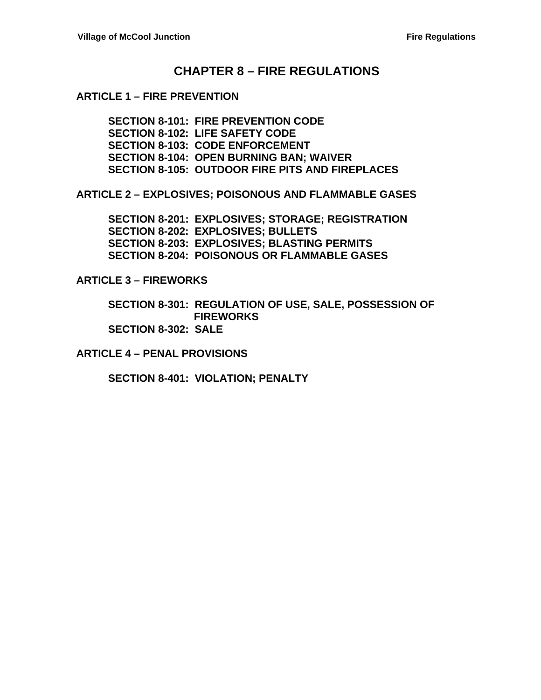### **CHAPTER 8 – FIRE REGULATIONS**

#### **ARTICLE 1 – FIRE PREVENTION**

**SECTION 8-101: FIRE PREVENTION CODE SECTION 8-102: LIFE SAFETY CODE SECTION 8-103: CODE ENFORCEMENT SECTION 8-104: OPEN BURNING BAN; WAIVER SECTION 8-105: OUTDOOR FIRE PITS AND FIREPLACES**

**ARTICLE 2 – EXPLOSIVES; POISONOUS AND FLAMMABLE GASES**

**SECTION 8-201: EXPLOSIVES; STORAGE; REGISTRATION SECTION 8-202: EXPLOSIVES; BULLETS SECTION 8-203: EXPLOSIVES; BLASTING PERMITS SECTION 8-204: POISONOUS OR FLAMMABLE GASES**

**ARTICLE 3 – FIREWORKS**

**SECTION 8-301: REGULATION OF USE, SALE, POSSESSION OF FIREWORKS SECTION 8-302: SALE**

**ARTICLE 4 – PENAL PROVISIONS**

**SECTION 8-401: VIOLATION; PENALTY**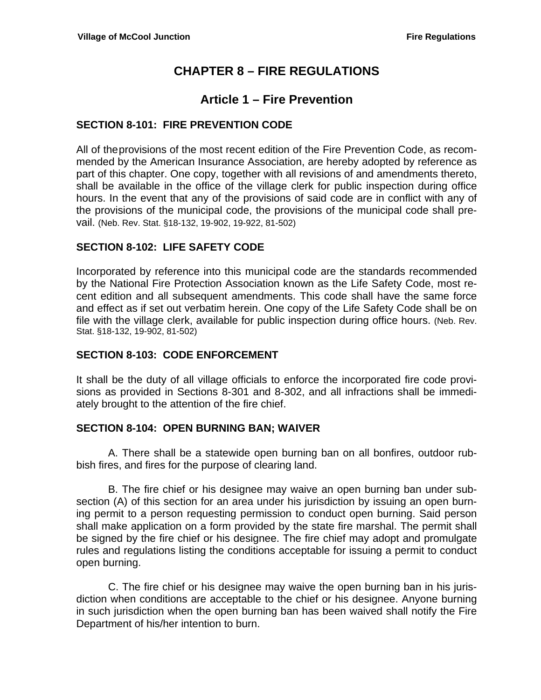# **CHAPTER 8 – FIRE REGULATIONS**

## **Article 1 – Fire Prevention**

#### **SECTION 8-101: FIRE PREVENTION CODE**

All of theprovisions of the most recent edition of the Fire Prevention Code, as recommended by the American Insurance Association, are hereby adopted by reference as part of this chapter. One copy, together with all revisions of and amendments thereto, shall be available in the office of the village clerk for public inspection during office hours. In the event that any of the provisions of said code are in conflict with any of the provisions of the municipal code, the provisions of the municipal code shall prevail. (Neb. Rev. Stat. §18-132, 19-902, 19-922, 81-502)

#### **SECTION 8-102: LIFE SAFETY CODE**

Incorporated by reference into this municipal code are the standards recommended by the National Fire Protection Association known as the Life Safety Code, most recent edition and all subsequent amendments. This code shall have the same force and effect as if set out verbatim herein. One copy of the Life Safety Code shall be on file with the village clerk, available for public inspection during office hours. (Neb. Rev. Stat. §18-132, 19-902, 81-502)

#### **SECTION 8-103: CODE ENFORCEMENT**

It shall be the duty of all village officials to enforce the incorporated fire code provisions as provided in Sections 8-301 and 8-302, and all infractions shall be immediately brought to the attention of the fire chief.

#### **SECTION 8-104: OPEN BURNING BAN; WAIVER**

A. There shall be a statewide open burning ban on all bonfires, outdoor rubbish fires, and fires for the purpose of clearing land.

B. The fire chief or his designee may waive an open burning ban under subsection (A) of this section for an area under his jurisdiction by issuing an open burning permit to a person requesting permission to conduct open burning. Said person shall make application on a form provided by the state fire marshal. The permit shall be signed by the fire chief or his designee. The fire chief may adopt and promulgate rules and regulations listing the conditions acceptable for issuing a permit to conduct open burning.

C. The fire chief or his designee may waive the open burning ban in his jurisdiction when conditions are acceptable to the chief or his designee. Anyone burning in such jurisdiction when the open burning ban has been waived shall notify the Fire Department of his/her intention to burn.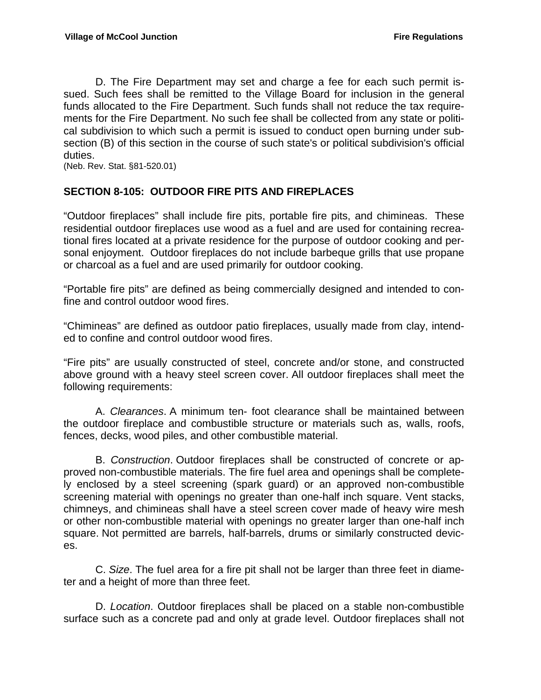D. The Fire Department may set and charge a fee for each such permit issued. Such fees shall be remitted to the Village Board for inclusion in the general funds allocated to the Fire Department. Such funds shall not reduce the tax requirements for the Fire Department. No such fee shall be collected from any state or political subdivision to which such a permit is issued to conduct open burning under subsection (B) of this section in the course of such state's or political subdivision's official duties.

(Neb. Rev. Stat. §81-520.01)

#### **SECTION 8-105: OUTDOOR FIRE PITS AND FIREPLACES**

"Outdoor fireplaces" shall include fire pits, portable fire pits, and chimineas. These residential outdoor fireplaces use wood as a fuel and are used for containing recreational fires located at a private residence for the purpose of outdoor cooking and personal enjoyment. Outdoor fireplaces do not include barbeque grills that use propane or charcoal as a fuel and are used primarily for outdoor cooking.

"Portable fire pits" are defined as being commercially designed and intended to confine and control outdoor wood fires.

"Chimineas" are defined as outdoor patio fireplaces, usually made from clay, intended to confine and control outdoor wood fires.

"Fire pits" are usually constructed of steel, concrete and/or stone, and constructed above ground with a heavy steel screen cover. All outdoor fireplaces shall meet the following requirements:

 A. *Clearances*. A minimum ten- foot clearance shall be maintained between the outdoor fireplace and combustible structure or materials such as, walls, roofs, fences, decks, wood piles, and other combustible material.

 B. *Construction*. Outdoor fireplaces shall be constructed of concrete or approved non-combustible materials. The fire fuel area and openings shall be completely enclosed by a steel screening (spark guard) or an approved non-combustible screening material with openings no greater than one-half inch square. Vent stacks, chimneys, and chimineas shall have a steel screen cover made of heavy wire mesh or other non-combustible material with openings no greater larger than one-half inch square. Not permitted are barrels, half-barrels, drums or similarly constructed devices.

 C. *Size*. The fuel area for a fire pit shall not be larger than three feet in diameter and a height of more than three feet.

 D. *Location*. Outdoor fireplaces shall be placed on a stable non-combustible surface such as a concrete pad and only at grade level. Outdoor fireplaces shall not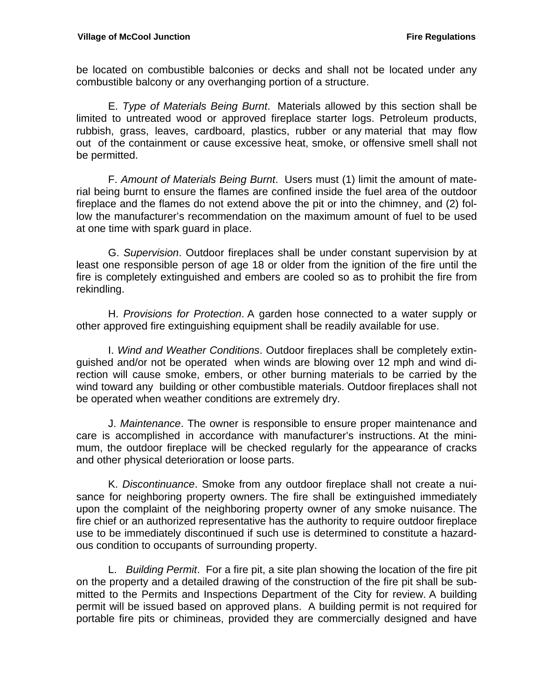be located on combustible balconies or decks and shall not be located under any combustible balcony or any overhanging portion of a structure.

 E. *Type of Materials Being Burnt*. Materials allowed by this section shall be limited to untreated wood or approved fireplace starter logs. Petroleum products, rubbish, grass, leaves, cardboard, plastics, rubber or any material that may flow out of the containment or cause excessive heat, smoke, or offensive smell shall not be permitted.

 F. *Amount of Materials Being Burnt*. Users must (1) limit the amount of material being burnt to ensure the flames are confined inside the fuel area of the outdoor fireplace and the flames do not extend above the pit or into the chimney, and (2) follow the manufacturer's recommendation on the maximum amount of fuel to be used at one time with spark guard in place.

 G. *Supervision*. Outdoor fireplaces shall be under constant supervision by at least one responsible person of age 18 or older from the ignition of the fire until the fire is completely extinguished and embers are cooled so as to prohibit the fire from rekindling.

 H. *Provisions for Protection*. A garden hose connected to a water supply or other approved fire extinguishing equipment shall be readily available for use.

 I. *Wind and Weather Conditions*. Outdoor fireplaces shall be completely extinguished and/or not be operated when winds are blowing over 12 mph and wind direction will cause smoke, embers, or other burning materials to be carried by the wind toward any building or other combustible materials. Outdoor fireplaces shall not be operated when weather conditions are extremely dry.

 J. *Maintenance*. The owner is responsible to ensure proper maintenance and care is accomplished in accordance with manufacturer's instructions. At the minimum, the outdoor fireplace will be checked regularly for the appearance of cracks and other physical deterioration or loose parts.

 K. *Discontinuance*. Smoke from any outdoor fireplace shall not create a nuisance for neighboring property owners. The fire shall be extinguished immediately upon the complaint of the neighboring property owner of any smoke nuisance. The fire chief or an authorized representative has the authority to require outdoor fireplace use to be immediately discontinued if such use is determined to constitute a hazardous condition to occupants of surrounding property.

 L. *Building Permit*. For a fire pit, a site plan showing the location of the fire pit on the property and a detailed drawing of the construction of the fire pit shall be submitted to the Permits and Inspections Department of the City for review. A building permit will be issued based on approved plans. A building permit is not required for portable fire pits or chimineas, provided they are commercially designed and have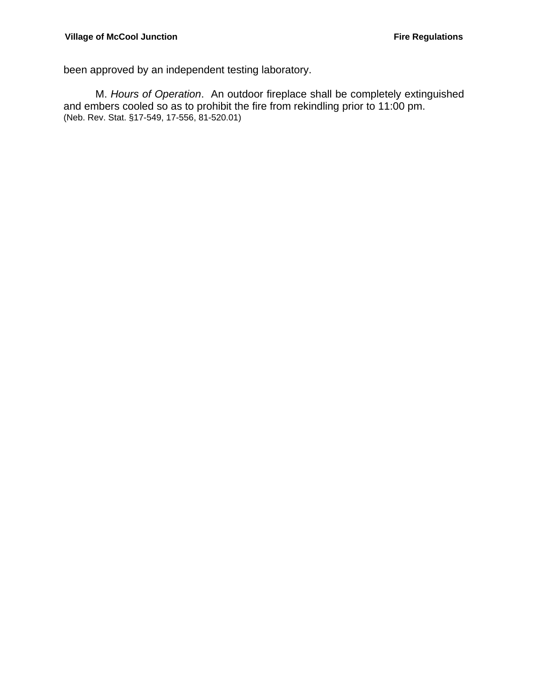been approved by an independent testing laboratory.

 M. *Hours of Operation*. An outdoor fireplace shall be completely extinguished and embers cooled so as to prohibit the fire from rekindling prior to 11:00 pm. (Neb. Rev. Stat. §17-549, 17-556, 81-520.01)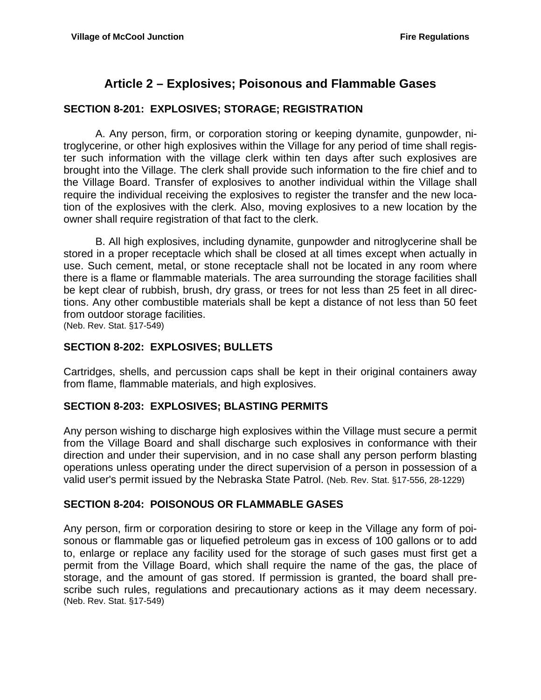# **Article 2 – Explosives; Poisonous and Flammable Gases**

#### **SECTION 8-201: EXPLOSIVES; STORAGE; REGISTRATION**

 A. Any person, firm, or corporation storing or keeping dynamite, gunpowder, nitroglycerine, or other high explosives within the Village for any period of time shall register such information with the village clerk within ten days after such explosives are brought into the Village. The clerk shall provide such information to the fire chief and to the Village Board. Transfer of explosives to another individual within the Village shall require the individual receiving the explosives to register the transfer and the new location of the explosives with the clerk. Also, moving explosives to a new location by the owner shall require registration of that fact to the clerk.

 B. All high explosives, including dynamite, gunpowder and nitroglycerine shall be stored in a proper receptacle which shall be closed at all times except when actually in use. Such cement, metal, or stone receptacle shall not be located in any room where there is a flame or flammable materials. The area surrounding the storage facilities shall be kept clear of rubbish, brush, dry grass, or trees for not less than 25 feet in all directions. Any other combustible materials shall be kept a distance of not less than 50 feet from outdoor storage facilities.

(Neb. Rev. Stat. §17-549)

#### **SECTION 8-202: EXPLOSIVES; BULLETS**

Cartridges, shells, and percussion caps shall be kept in their original containers away from flame, flammable materials, and high explosives.

#### **SECTION 8-203: EXPLOSIVES; BLASTING PERMITS**

Any person wishing to discharge high explosives within the Village must secure a permit from the Village Board and shall discharge such explosives in conformance with their direction and under their supervision, and in no case shall any person perform blasting operations unless operating under the direct supervision of a person in possession of a valid user's permit issued by the Nebraska State Patrol. (Neb. Rev. Stat. §17-556, 28-1229)

#### **SECTION 8-204: POISONOUS OR FLAMMABLE GASES**

Any person, firm or corporation desiring to store or keep in the Village any form of poisonous or flammable gas or liquefied petroleum gas in excess of 100 gallons or to add to, enlarge or replace any facility used for the storage of such gases must first get a permit from the Village Board, which shall require the name of the gas, the place of storage, and the amount of gas stored. If permission is granted, the board shall prescribe such rules, regulations and precautionary actions as it may deem necessary. (Neb. Rev. Stat. §17-549)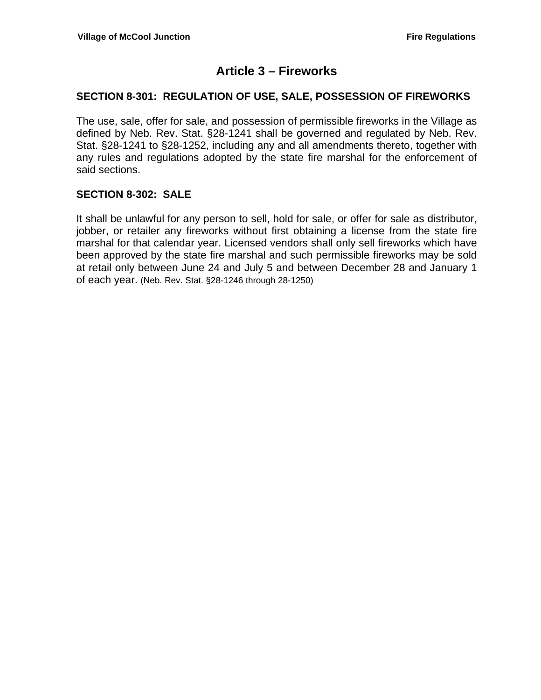## **Article 3 – Fireworks**

#### **SECTION 8-301: REGULATION OF USE, SALE, POSSESSION OF FIREWORKS**

The use, sale, offer for sale, and possession of permissible fireworks in the Village as defined by Neb. Rev. Stat. §28-1241 shall be governed and regulated by Neb. Rev. Stat. §28-1241 to §28-1252, including any and all amendments thereto, together with any rules and regulations adopted by the state fire marshal for the enforcement of said sections.

#### **SECTION 8-302: SALE**

It shall be unlawful for any person to sell, hold for sale, or offer for sale as distributor, jobber, or retailer any fireworks without first obtaining a license from the state fire marshal for that calendar year. Licensed vendors shall only sell fireworks which have been approved by the state fire marshal and such permissible fireworks may be sold at retail only between June 24 and July 5 and between December 28 and January 1 of each year. (Neb. Rev. Stat. §28-1246 through 28-1250)